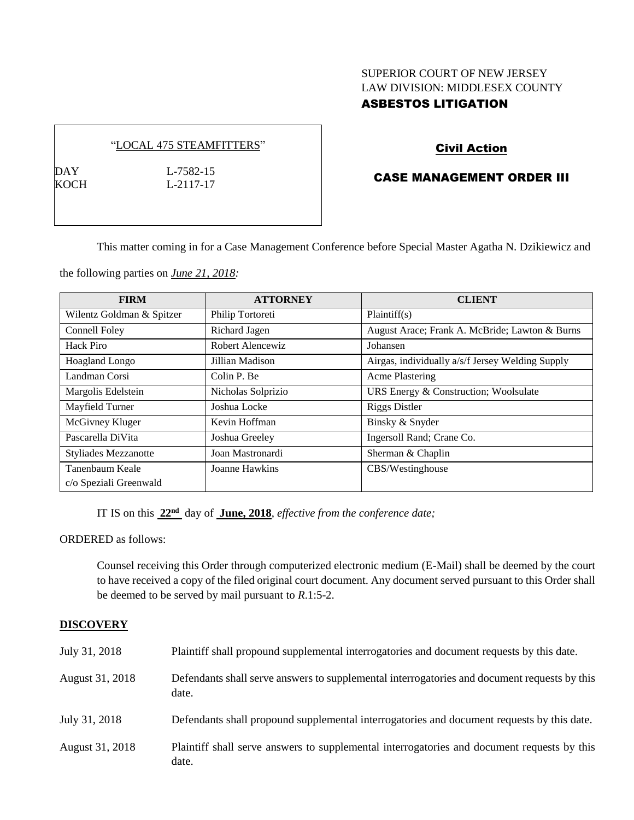## SUPERIOR COURT OF NEW JERSEY LAW DIVISION: MIDDLESEX COUNTY ASBESTOS LITIGATION

### "LOCAL 475 STEAMFITTERS"

DAY L-7582-15<br>KOCH L-2117-17

 $L-2117-17$ 

# Civil Action

# CASE MANAGEMENT ORDER III

This matter coming in for a Case Management Conference before Special Master Agatha N. Dzikiewicz and

the following parties on *June 21, 2018:*

| <b>FIRM</b>                 | <b>ATTORNEY</b>    | <b>CLIENT</b>                                    |
|-----------------------------|--------------------|--------------------------------------------------|
| Wilentz Goldman & Spitzer   | Philip Tortoreti   | Plaintiff(s)                                     |
| Connell Foley               | Richard Jagen      | August Arace; Frank A. McBride; Lawton & Burns   |
| Hack Piro                   | Robert Alencewiz   | Johansen                                         |
| <b>Hoagland Longo</b>       | Jillian Madison    | Airgas, individually a/s/f Jersey Welding Supply |
| Landman Corsi               | Colin P. Be        | <b>Acme Plastering</b>                           |
| Margolis Edelstein          | Nicholas Solprizio | URS Energy & Construction; Woolsulate            |
| Mayfield Turner             | Joshua Locke       | <b>Riggs Distler</b>                             |
| McGivney Kluger             | Kevin Hoffman      | Binsky & Snyder                                  |
| Pascarella DiVita           | Joshua Greeley     | Ingersoll Rand; Crane Co.                        |
| <b>Styliades Mezzanotte</b> | Joan Mastronardi   | Sherman & Chaplin                                |
| Tanenbaum Keale             | Joanne Hawkins     | CBS/Westinghouse                                 |
| c/o Speziali Greenwald      |                    |                                                  |

IT IS on this  $22<sup>nd</sup>$  day of June, 2018, *effective from the conference date*;

ORDERED as follows:

Counsel receiving this Order through computerized electronic medium (E-Mail) shall be deemed by the court to have received a copy of the filed original court document. Any document served pursuant to this Order shall be deemed to be served by mail pursuant to *R*.1:5-2.

### **DISCOVERY**

| July 31, 2018   | Plaintiff shall propound supplemental interrogatories and document requests by this date.             |
|-----------------|-------------------------------------------------------------------------------------------------------|
| August 31, 2018 | Defendants shall serve answers to supplemental interrogatories and document requests by this<br>date. |
| July 31, 2018   | Defendants shall propound supplemental interrogatories and document requests by this date.            |
| August 31, 2018 | Plaintiff shall serve answers to supplemental interrogatories and document requests by this<br>date.  |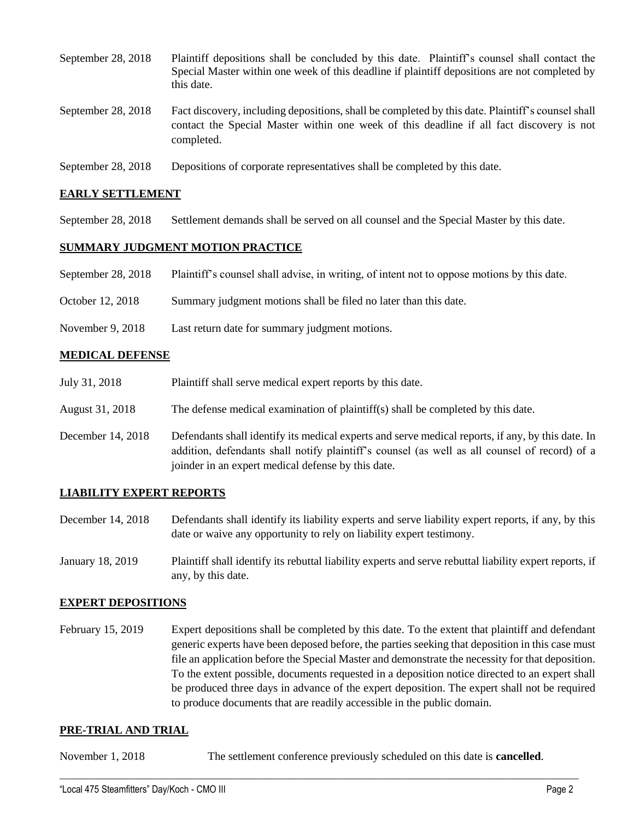| September 28, 2018 | Plaintiff depositions shall be concluded by this date. Plaintiff's counsel shall contact the<br>Special Master within one week of this deadline if plaintiff depositions are not completed by<br>this date. |
|--------------------|-------------------------------------------------------------------------------------------------------------------------------------------------------------------------------------------------------------|
| September 28, 2018 | Fact discovery, including depositions, shall be completed by this date. Plaintiff's counsel shall<br>contact the Special Master within one week of this deadline if all fact discovery is not<br>completed. |

September 28, 2018 Depositions of corporate representatives shall be completed by this date.

### **EARLY SETTLEMENT**

September 28, 2018 Settlement demands shall be served on all counsel and the Special Master by this date.

### **SUMMARY JUDGMENT MOTION PRACTICE**

| September 28, 2018 | Plaintiff's counsel shall advise, in writing, of intent not to oppose motions by this date. |
|--------------------|---------------------------------------------------------------------------------------------|
| October 12, 2018   | Summary judgment motions shall be filed no later than this date.                            |
| November 9, 2018   | Last return date for summary judgment motions.                                              |

### **MEDICAL DEFENSE**

| July 31, 2018     | Plaintiff shall serve medical expert reports by this date.                                                                                                                                                                                               |
|-------------------|----------------------------------------------------------------------------------------------------------------------------------------------------------------------------------------------------------------------------------------------------------|
| August 31, 2018   | The defense medical examination of plaintiff(s) shall be completed by this date.                                                                                                                                                                         |
| December 14, 2018 | Defendants shall identify its medical experts and serve medical reports, if any, by this date. In<br>addition, defendants shall notify plaintiff's counsel (as well as all counsel of record) of a<br>joinder in an expert medical defense by this date. |

### **LIABILITY EXPERT REPORTS**

December 14, 2018 Defendants shall identify its liability experts and serve liability expert reports, if any, by this date or waive any opportunity to rely on liability expert testimony.

January 18, 2019 Plaintiff shall identify its rebuttal liability experts and serve rebuttal liability expert reports, if any, by this date.

### **EXPERT DEPOSITIONS**

February 15, 2019 Expert depositions shall be completed by this date. To the extent that plaintiff and defendant generic experts have been deposed before, the parties seeking that deposition in this case must file an application before the Special Master and demonstrate the necessity for that deposition. To the extent possible, documents requested in a deposition notice directed to an expert shall be produced three days in advance of the expert deposition. The expert shall not be required to produce documents that are readily accessible in the public domain.

#### **PRE-TRIAL AND TRIAL**

November 1, 2018 The settlement conference previously scheduled on this date is **cancelled**.

 $\_$  ,  $\_$  ,  $\_$  ,  $\_$  ,  $\_$  ,  $\_$  ,  $\_$  ,  $\_$  ,  $\_$  ,  $\_$  ,  $\_$  ,  $\_$  ,  $\_$  ,  $\_$  ,  $\_$  ,  $\_$  ,  $\_$  ,  $\_$  ,  $\_$  ,  $\_$  ,  $\_$  ,  $\_$  ,  $\_$  ,  $\_$  ,  $\_$  ,  $\_$  ,  $\_$  ,  $\_$  ,  $\_$  ,  $\_$  ,  $\_$  ,  $\_$  ,  $\_$  ,  $\_$  ,  $\_$  ,  $\_$  ,  $\_$  ,